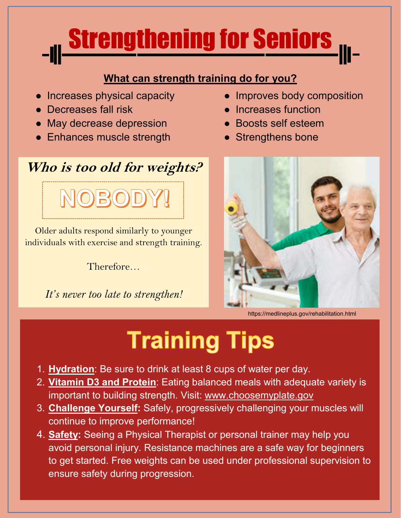

#### **What can strength training do for you?**

- Increases physical capacity
- Decreases fall risk
- May decrease depression
- Enhances muscle strength

## **Who is too old for weights?**

Older adults respond similarly to younger individuals with exercise and strength training.

Therefore…

*It's never too late to strengthen!*

- Improves body composition
- Increases function
- Boosts self esteem
- Strengthens bone



https://medlineplus.gov/rehabilitation.html

# **Training Tips**

- 1. **Hydration**: Be sure to drink at least 8 cups of water per day.
- 2. **Vitamin D3 and Protein**: Eating balanced meals with adequate variety is important to building strength. Visit: www.choosemyplate.gov
- 3. **Challenge Yourself:** Safely, progressively challenging your muscles will continue to improve performance!
- 4. **Safety:** Seeing a Physical Therapist or personal trainer may help you avoid personal injury. Resistance machines are a safe way for beginners to get started. Free weights can be used under professional supervision to ensure safety during progression.